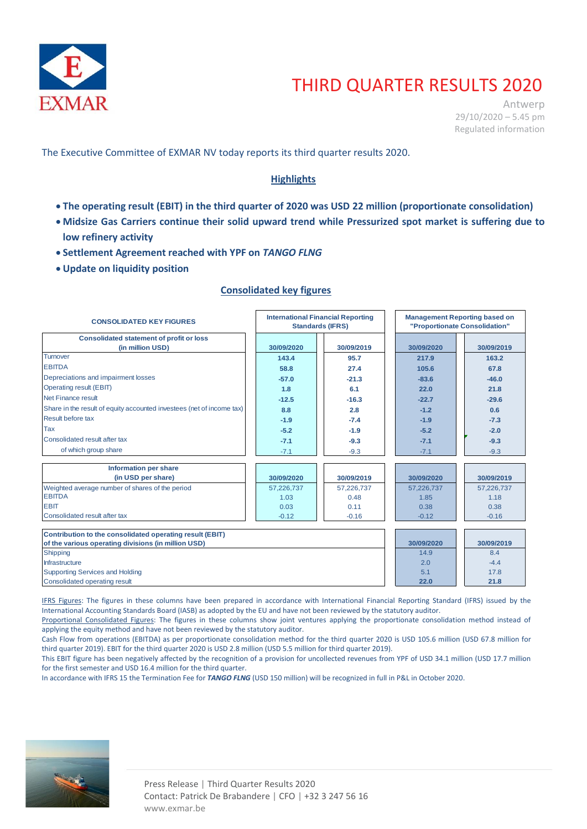

# THIRD QUARTER RESULTS 2020

Antwerp 29/10/2020 – 5.45 pm Regulated information

The Executive Committee of EXMAR NV today reports its third quarter results 2020.

# **Highlights**

- **The operating result (EBIT) in the third quarter of 2020 was USD 22 million (proportionate consolidation)**
- **Midsize Gas Carriers continue their solid upward trend while Pressurized spot market is suffering due to low refinery activity**
- **Settlement Agreement reached with YPF on** *TANGO FLNG*
- **Update on liquidity position**

# **Consolidated key figures**

| <b>CONSOLIDATED KEY FIGURES</b>                                                                                 | <b>Management Reporting based on</b><br><b>International Financial Reporting</b><br>"Proportionate Consolidation"<br><b>Standards (IFRS)</b> |            |            |            |
|-----------------------------------------------------------------------------------------------------------------|----------------------------------------------------------------------------------------------------------------------------------------------|------------|------------|------------|
| <b>Consolidated statement of profit or loss</b>                                                                 |                                                                                                                                              |            |            |            |
| (in million USD)                                                                                                | 30/09/2020                                                                                                                                   | 30/09/2019 | 30/09/2020 | 30/09/2019 |
| <b>Turnover</b>                                                                                                 | 143.4                                                                                                                                        | 95.7       | 217.9      | 163.2      |
| <b>EBITDA</b>                                                                                                   | 58.8                                                                                                                                         | 27.4       | 105.6      | 67.8       |
| Depreciations and impairment losses                                                                             | $-57.0$                                                                                                                                      | $-21.3$    | $-83.6$    | $-46.0$    |
| Operating result (EBIT)                                                                                         | 1.8                                                                                                                                          | 6.1        | 22.0       | 21.8       |
| Net Finance result                                                                                              | $-12.5$                                                                                                                                      | $-16.3$    | $-22.7$    | $-29.6$    |
| Share in the result of equity accounted investees (net of income tax)                                           | 8.8                                                                                                                                          | 2.8        | $-1.2$     | 0.6        |
| Result before tax                                                                                               | $-1.9$                                                                                                                                       | $-7.4$     | $-1.9$     | $-7.3$     |
| Tax                                                                                                             | $-5.2$                                                                                                                                       | $-1.9$     | $-5.2$     | $-2.0$     |
| Consolidated result after tax                                                                                   | $-7.1$                                                                                                                                       | $-9.3$     | $-7.1$     | $-9.3$     |
| of which group share                                                                                            | $-7.1$                                                                                                                                       | $-9.3$     | $-7.1$     | $-9.3$     |
|                                                                                                                 |                                                                                                                                              |            |            |            |
| <b>Information per share</b>                                                                                    |                                                                                                                                              |            |            |            |
| (in USD per share)                                                                                              | 30/09/2020                                                                                                                                   | 30/09/2019 | 30/09/2020 | 30/09/2019 |
| Weighted average number of shares of the period                                                                 | 57,226,737                                                                                                                                   | 57,226,737 | 57,226,737 | 57,226,737 |
| <b>EBITDA</b>                                                                                                   | 1.03                                                                                                                                         | 0.48       | 1.85       | 1.18       |
| <b>EBIT</b>                                                                                                     | 0.03                                                                                                                                         | 0.11       | 0.38       | 0.38       |
| Consolidated result after tax                                                                                   | $-0.12$                                                                                                                                      | $-0.16$    | $-0.12$    | $-0.16$    |
|                                                                                                                 |                                                                                                                                              |            |            |            |
| Contribution to the consolidated operating result (EBIT)<br>of the various operating divisions (in million USD) |                                                                                                                                              |            | 30/09/2020 | 30/09/2019 |
| Shipping                                                                                                        |                                                                                                                                              |            | 14.9       | 8.4        |
| <b>Infrastructure</b>                                                                                           |                                                                                                                                              |            | 2.0        | $-4.4$     |
| <b>Supporting Services and Holding</b>                                                                          |                                                                                                                                              |            | 5.1        | 17.8       |
| Consolidated operating result                                                                                   |                                                                                                                                              |            | 22.0       | 21.8       |

IFRS Figures: The figures in these columns have been prepared in accordance with International Financial Reporting Standard (IFRS) issued by the International Accounting Standards Board (IASB) as adopted by the EU and have not been reviewed by the statutory auditor.

Proportional Consolidated Figures: The figures in these columns show joint ventures applying the proportionate consolidation method instead of applying the equity method and have not been reviewed by the statutory auditor.

Cash Flow from operations (EBITDA) as per proportionate consolidation method for the third quarter 2020 is USD 105.6 million (USD 67.8 million for third quarter 2019). EBIT for the third quarter 2020 is USD 2.8 million (USD 5.5 million for third quarter 2019).

This EBIT figure has been negatively affected by the recognition of a provision for uncollected revenues from YPF of USD 34.1 million (USD 17.7 million for the first semester and USD 16.4 million for the third quarter.

In accordance with IFRS 15 the Termination Fee for *TANGO FLNG* (USD 150 million) will be recognized in full in P&L in October 2020.

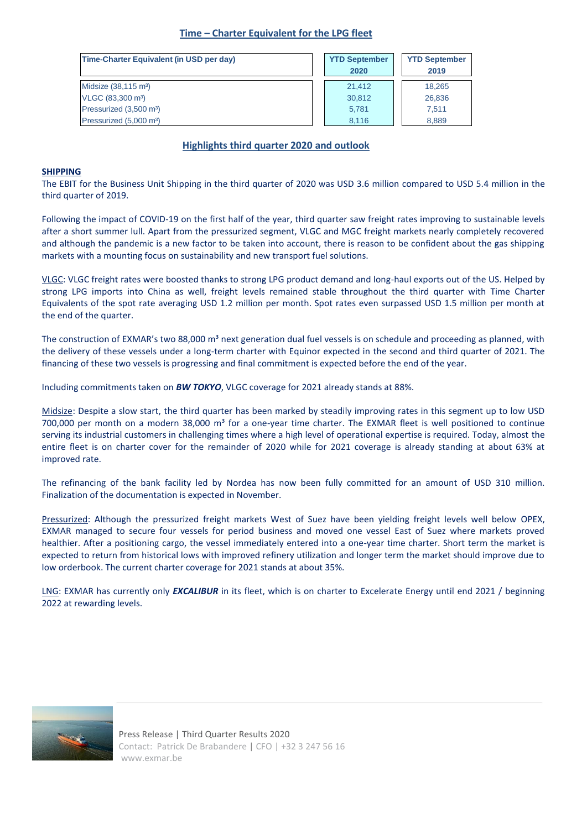## **Time – Charter Equivalent for the LPG fleet**

| Time-Charter Equivalent (in USD per day) | <b>YTD September</b><br>2020 | <b>YTD September</b><br>2019 |
|------------------------------------------|------------------------------|------------------------------|
| Midsize (38,115 m <sup>3</sup> )         | 21.412                       | 18,265                       |
| VLGC (83,300 m <sup>3</sup> )            | 30,812                       | 26,836                       |
| Pressurized (3,500 m <sup>3</sup> )      | 5.781                        | 7.511                        |
| Pressurized (5,000 m <sup>3</sup> )      | 8.116                        | 8,889                        |

## **Highlights third quarter 2020 and outlook**

#### **SHIPPING**

The EBIT for the Business Unit Shipping in the third quarter of 2020 was USD 3.6 million compared to USD 5.4 million in the third quarter of 2019.

Following the impact of COVID-19 on the first half of the year, third quarter saw freight rates improving to sustainable levels after a short summer lull. Apart from the pressurized segment, VLGC and MGC freight markets nearly completely recovered and although the pandemic is a new factor to be taken into account, there is reason to be confident about the gas shipping markets with a mounting focus on sustainability and new transport fuel solutions.

VLGC: VLGC freight rates were boosted thanks to strong LPG product demand and long-haul exports out of the US. Helped by strong LPG imports into China as well, freight levels remained stable throughout the third quarter with Time Charter Equivalents of the spot rate averaging USD 1.2 million per month. Spot rates even surpassed USD 1.5 million per month at the end of the quarter.

The construction of EXMAR's two 88,000 m<sup>3</sup> next generation dual fuel vessels is on schedule and proceeding as planned, with the delivery of these vessels under a long-term charter with Equinor expected in the second and third quarter of 2021. The financing of these two vessels is progressing and final commitment is expected before the end of the year.

Including commitments taken on *BW TOKYO*, VLGC coverage for 2021 already stands at 88%.

Midsize: Despite a slow start, the third quarter has been marked by steadily improving rates in this segment up to low USD 700,000 per month on a modern 38,000  $m<sup>3</sup>$  for a one-year time charter. The EXMAR fleet is well positioned to continue serving its industrial customers in challenging times where a high level of operational expertise is required. Today, almost the entire fleet is on charter cover for the remainder of 2020 while for 2021 coverage is already standing at about 63% at improved rate.

The refinancing of the bank facility led by Nordea has now been fully committed for an amount of USD 310 million. Finalization of the documentation is expected in November.

Pressurized: Although the pressurized freight markets West of Suez have been yielding freight levels well below OPEX, EXMAR managed to secure four vessels for period business and moved one vessel East of Suez where markets proved healthier. After a positioning cargo, the vessel immediately entered into a one-year time charter. Short term the market is expected to return from historical lows with improved refinery utilization and longer term the market should improve due to low orderbook. The current charter coverage for 2021 stands at about 35%.

LNG: EXMAR has currently only *EXCALIBUR* in its fleet, which is on charter to Excelerate Energy until end 2021 / beginning 2022 at rewarding levels.

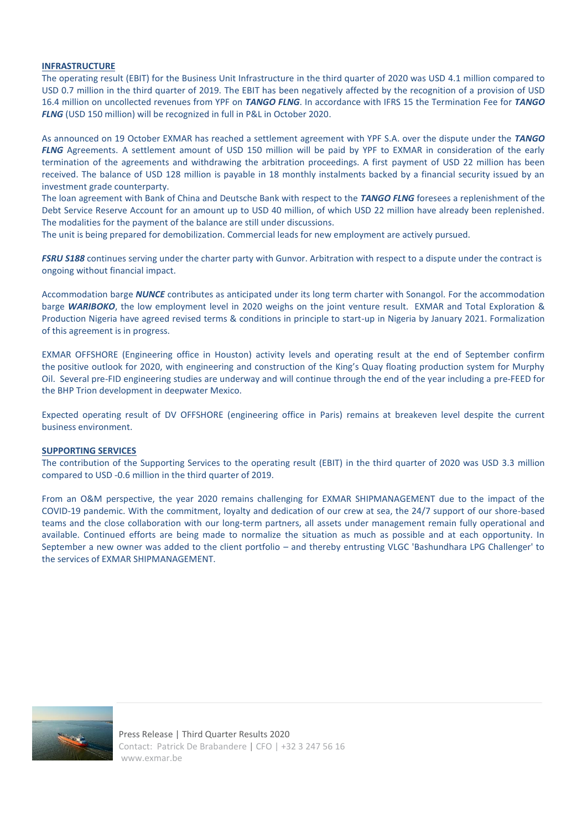#### **INFRASTRUCTURE**

The operating result (EBIT) for the Business Unit Infrastructure in the third quarter of 2020 was USD 4.1 million compared to USD 0.7 million in the third quarter of 2019. The EBIT has been negatively affected by the recognition of a provision of USD 16.4 million on uncollected revenues from YPF on *TANGO FLNG*. In accordance with IFRS 15 the Termination Fee for *TANGO FLNG* (USD 150 million) will be recognized in full in P&L in October 2020.

As announced on 19 October EXMAR has reached a settlement agreement with YPF S.A. over the dispute under the *TANGO FLNG* Agreements. A settlement amount of USD 150 million will be paid by YPF to EXMAR in consideration of the early termination of the agreements and withdrawing the arbitration proceedings. A first payment of USD 22 million has been received. The balance of USD 128 million is payable in 18 monthly instalments backed by a financial security issued by an investment grade counterparty.

The loan agreement with Bank of China and Deutsche Bank with respect to the *TANGO FLNG* foresees a replenishment of the Debt Service Reserve Account for an amount up to USD 40 million, of which USD 22 million have already been replenished*.* The modalities for the payment of the balance are still under discussions.

The unit is being prepared for demobilization. Commercial leads for new employment are actively pursued.

*FSRU S188* continues serving under the charter party with Gunvor. Arbitration with respect to a dispute under the contract is ongoing without financial impact.

Accommodation barge *NUNCE* contributes as anticipated under its long term charter with Sonangol. For the accommodation barge *WARIBOKO*, the low employment level in 2020 weighs on the joint venture result. EXMAR and Total Exploration & Production Nigeria have agreed revised terms & conditions in principle to start-up in Nigeria by January 2021. Formalization of this agreement is in progress.

EXMAR OFFSHORE (Engineering office in Houston) activity levels and operating result at the end of September confirm the positive outlook for 2020, with engineering and construction of the King's Quay floating production system for Murphy Oil. Several pre-FID engineering studies are underway and will continue through the end of the year including a pre-FEED for the BHP Trion development in deepwater Mexico.

Expected operating result of DV OFFSHORE (engineering office in Paris) remains at breakeven level despite the current business environment.

#### **SUPPORTING SERVICES**

The contribution of the Supporting Services to the operating result (EBIT) in the third quarter of 2020 was USD 3.3 million compared to USD -0.6 million in the third quarter of 2019.

From an O&M perspective, the year 2020 remains challenging for EXMAR SHIPMANAGEMENT due to the impact of the COVID-19 pandemic. With the commitment, loyalty and dedication of our crew at sea, the 24/7 support of our shore-based teams and the close collaboration with our long-term partners, all assets under management remain fully operational and available. Continued efforts are being made to normalize the situation as much as possible and at each opportunity. In September a new owner was added to the client portfolio – and thereby entrusting VLGC 'Bashundhara LPG Challenger' to the services of EXMAR SHIPMANAGEMENT.